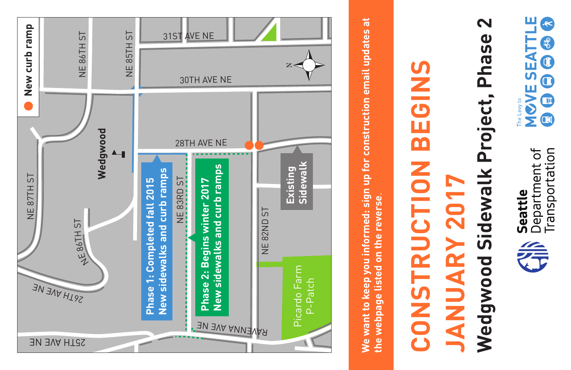



## $\boldsymbol{\mathsf{N}}$ **Wedgwood Sidewalk Project, Phase 2** Wedgwood Sidewalk Project, Phase **CONSTRUCTION BEGINS**  EGINS E **NOLLO JANUARY 2017 Z017** CONSTRU JANUARY

**We want to keep you informed: sign up for construction email updates at**  We want to keep you informed: sign up for construction email updates at the webpage listed on the reverse. **the webpage listed on the reverse**.